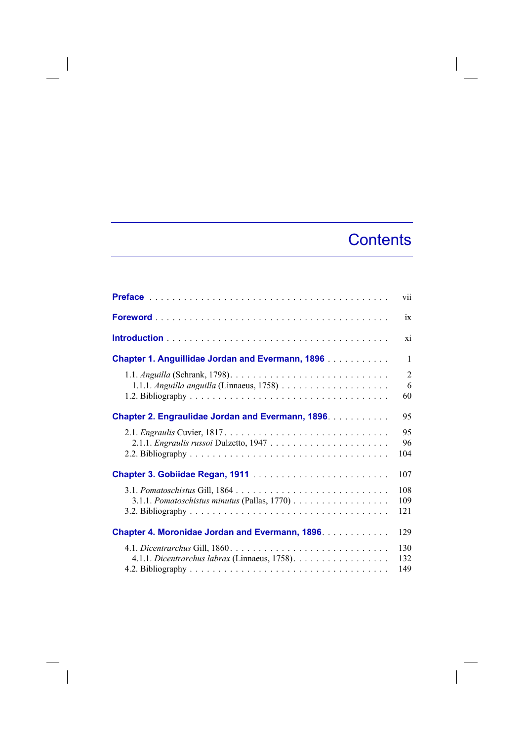## **Contents**

 $\overline{\phantom{a}}$ 

|                                                                                       | vii                       |
|---------------------------------------------------------------------------------------|---------------------------|
|                                                                                       | ix                        |
|                                                                                       | xi                        |
| <b>Chapter 1. Anguillidae Jordan and Evermann, 1896 </b>                              | 1                         |
| 1.1.1. Anguilla anguilla (Linnaeus, 1758) $\ldots \ldots \ldots \ldots \ldots \ldots$ | $\overline{2}$<br>6<br>60 |
| <b>Chapter 2. Engraulidae Jordan and Evermann, 1896.</b>                              | 95                        |
|                                                                                       | 95<br>96<br>104           |
| Chapter 3. Gobiidae Regan, 1911                                                       | 107                       |
| 3.1.1. Pomatoschistus minutus (Pallas, 1770)                                          | 108<br>109<br>121         |
| <b>Chapter 4. Moronidae Jordan and Evermann, 1896.</b>                                | 129                       |
| 4.1.1. Dicentrarchus labrax (Linnaeus, 1758).                                         | 130<br>132<br>149         |

 $\begin{array}{c} \hline \end{array}$ 

 $\overline{\phantom{a}}$